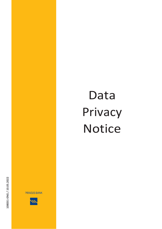## Data Privacy Notice

**PIRAEUS BANK** 

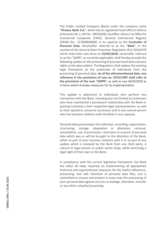The Public Limited Company (Bank) under the company name "**Piraeus Bank S.A.**", which hasitsregistered head office in Athens (4Amerikis Str.),VAT No.: 996763330, Tax O ffice: Athens Tax O ffice for Commercial Companies (FAEE), General Commercial Registry (GEMI) No.: 157660660000, in its capacity as the **Controller of Personal Data**, hereinafter referred to as the "**Bank**", in the context of the General Data Protection Regulation (EU) 2016/679 which shall enter into force on **25/05/2018**, hereinafter referred to as the "GDPR", as currently applicable, shall hereby provide the following update on the processing of your personal data and your rights asthe data subject. The Regulation shall replace the existing legal framework on the protection of individuals from the processing of personal data. **As of the aforementioned date, any reference in the provisions of Law no. 2472/1997 shall refer to the provisions of the new "GDPR",** as well as Law 4624/2019 as in force which includes measures for its implementation

This update is addressed to individuals who perform any transaction with the Bank, including but not limited to Customers who have maintained a permanent relationship with the Bank or passing Customers, their respective legal representatives, as well as their special or universal successors and to any natural person who has business relations with the Bank in any capacity.

Personal data processing is the collection, recording, organization, structuring, storage, adaptation or alteration, retrieval, consultation, use, transmission, restriction or erasure of personal data which was or will be brought to the attention of the Bank, either as part of your business relations with it or as part of any update which is received by the Bank from any third party, a natural or legal person or public sector body, while exercising a legal right of their own or the Bank.

In compliance with the current legislative framework, the Bank has taken all steps required, by implementing all appropriate technical and organizational measures for the lawful adherence, processing, and safe retention of personal data files, and is committed to ensure and protect in every way the processing of your personal data against any loss or leakage, alteration, transfer or any other unlawful processing.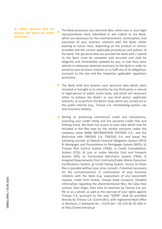**A. Which personal data we process and where we collect them from**

- The Bank processes your personal data, which you or your legal representatives have submitted or will submit to the Bank, which are necessary for the commencement, continuation, and execution of your business relations with the Bank, either existing or future ones, depending on the product or service provided and the current applicable procedures and policies of the Bank. The personal data you provide the Bank with / submit to the Bank must be complete and accurate and shall be diligently and immediately updated by you, in case they were altered or whenever deemed necessary by the Bank in order to preserve your business relations or to fulfil any of its obligations pursuant to the law and the respective applicable regulatory provisions.
- $\blacksquare$  The Bank shall also process your personal data which were received or brought to its attention by any third party, a natural or legal person or public sector body, and which are necessary either to achieve the Bank's or any third party's legitimate interests, or to perform the Bank's tasks which are carried out in the public interest (e.g., Tiresias S.A. interbanking system, tax and insurance bodies).
- **Aiming at protecting commercial credit and transactions,** assessing your credit rating and any assumed credit risks and limiting fraud, the Bank has access to your data which may be included in the files kept by the societe anonyme under the company name BANK INFORMATION SYSTEMS S.A., and the distinctive title TIRESIAS S.A. TIRESIAS S.A. and keeps the following records: a) Default Financial Obligation System (DFO) & Mortgages and Prenotations to Mortgages System (MPS); b) Tiresias Risk Control System (TSEK); c) Credit Consolidation System (CCS); d) Lost or stolen Identity Card and Passport System (IPS); e) Terminated Merchants System (TMS); f) Assigned Requirements from Contracts/Public Works Execution Certifications System; g) Credit Rating System. Access to these files is possible without your prior consent, if deemed necessary for the commencement or continuation of your business relations with the Bank (e.g. assessment of any loan/credit request, credit limit review, cheque book issuance). Detailed information regarding the aforementioned files, the data they contain, their origin, their time of retention by Tiresias S.A. per file or as a whole, as well as the exercise of your rights against Tiresias S.A. pursuant to the new "GDPR" shall be provided directly by Tiresias S.A. (Controller), with registered head office in Maroussi, 2 Alamanas Str., 15125 (tel. +30 210-36.76.700) or at [http://www.tiresias.gr](http://www.tiresias.gr/)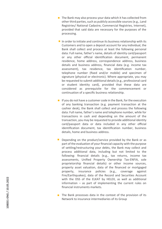- $\blacksquare$  The Bank may also process your data which it has collected from other third parties, such as publicly accessible sources (e.g., Land Registries/ National Cadastre, Commercial Registries, Internet), provided that said data are necessary for the purposes of the processing.
- In order to initiate and continue its business relationship with its Customers and to open a deposit account for any individual, the Bank shall collect and process at least the following personal data: Full name, father's name, details of identity card/passport or any other official identification document, permanent residence, home address, correspondence address, business details and business address, financial data (e.g. income tax assessment), tax residence, tax identification number, telephone number (fixed and/or mobile) and specimen of signature (physical or electronic). Where appropriate, you may be requested to submit additional details (e.g., professional card or student identity card), provided that these data are considered as prerequisite for the commencement or continuation of a specific business relationship.
- If you do not have a customer code in the Bank, for the execution of any banking transaction (e.g. payment transaction at the cashier desk), the Bank shall collect and process the following data: Full name, father's name and telephone number, while for transactions in cash and depending on the amount of the transaction, you may be requested to provide additional identity card/passport data or data included in any other official identification document, tax identification number, business details, home and business address.
- Depending on the product/service provided by the Bank or as part of the evaluation of your financial capacity with the purpose of settling/restructuring your debts, the Bank may collect and process additional data, including but not limited to the following: financial details (e.g., tax returns, income tax assessments, Unified Property Ownership Tax -ENFIA, sole proprietorship financial details) or other income sources, property asset valuation, data of the financed or mortgaged property, insurance policies (e.g., coverage against Fire/Earthquakes), data of the Record and Securities Account with the DSS of the ELKAT by HELEX, as well as additional information – as part of implementing the current rules on financial instruments markets.
- $\blacksquare$  The Bank processes data in the context of the provision of its Network to insurance intermediaries of its Group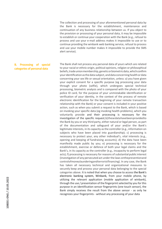The collection and processing of your aforementioned personal data by the Bank is necessary for the establishment, maintenance and continuation of any business relationship between us. If you object to the provision or processing of your personal data, it may be impossible to establish or continue your cooperation with the Bank (e.g., refusal to process and use your e-mail address makes it impossible to use or to continue providing the winbank web banking service, refusal to process and use your mobile number makes it impossible to provide the SMS alert service).

**B.** Processing of special **categories of personal data**

The Bank shall not process any personal data of yours which are related to your racial or ethnic origin, political opinions, religion or philosophical beliefs, trade union membership, genetic or biometric data, which confirm youridentificationasthedata subject,anddata concerninghealthordata concerning your sex life or sexual orientation, unless: a) you have given your explicit consent for a specific purpose (eg processing your data through your photo (selfie), which undergoes special technical processing, biometric analysis and is compared with the photo of your police ID card, for the purpose of your unmistakable identification or verification of your identity, in the context of the process of remote electronic identification for the beginning of your remote transaction relationship with the Bank) or your consent is included in your positive action, such as when you submit a request to the Bank, which is based on invoking your specific data (eg invoking health problems), which you voluntarily provide and their processing is necessary for the investigation of the specific request;b)thesedatahavebeenprovidedto the Bank by you or any third party, either natural or legal person, as part of the documentation and safeguard of your and/or the Bank's legitimate interests, in its capacity as the controller (e.g., information on subjects who have been placed into guardianship); c) processing is necessary to protect your, any other individual's, vital interests (e.g., opening and keeping of fundraising accounts); d) the data have been manifestly made public by you; e) processing is necessary for the establishment, exercise or defence of both your legal claims and the Bank's, in its capacity as the controller (e.g., incapacity to perform legal acts); f) processing is necessary for reasons of substantial public interest (investigation of any persecuted act underthe laws onthepreventionand controlofmoneylaunderingandterroristfinancing). In any case, the Bank has taken all necessary technical and organizational measures to securely keep and process your personal data belonging to the special categories above. It is noted that when you choose to access the Bank's electronic banking system, Winbank, from your mobile phone, by utilizing the relevant application (mobile application of winbank), through the use / presentation of the fingerprint selected by you for this purpose in an identification sensor fingerprints (one touch sensor), the Bank simply receives the result from the above sensor - as only he recognizes your fingerprints - without any processing of your data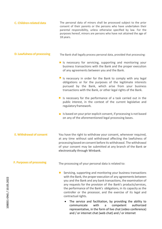| C. Children-related data           | The personal data of minors shall be processed subject to the prior<br>consent of their parents or the persons who have undertaken their<br>parental responsibility, unless otherwise specified by law. For the<br>purposes hereof, minors are persons who have not attained the age of<br>18 years.                                                                                                                                |
|------------------------------------|-------------------------------------------------------------------------------------------------------------------------------------------------------------------------------------------------------------------------------------------------------------------------------------------------------------------------------------------------------------------------------------------------------------------------------------|
| <b>D. Lawfulness of processing</b> | The Bank shall legally process personal data, provided that processing:                                                                                                                                                                                                                                                                                                                                                             |
|                                    | I Is necessary for servicing, supporting and monitoring your<br>business transactions with the Bank and the proper execution<br>of any agreements between you and the Bank.                                                                                                                                                                                                                                                         |
|                                    | Is necessary in order for the Bank to comply with any legal<br>obligations or for the purposes of the legitimate interests<br>pursued by the Bank, which arise from your business<br>transactions with the Bank, or other legal rights of the Bank.                                                                                                                                                                                 |
|                                    | Is necessary for the performance of a task carried out in the<br>public interest, in the context of the current legislative and<br>regulatory framework.                                                                                                                                                                                                                                                                            |
|                                    | Is based on your prior explicit consent, if processing is not based<br>on any of the aforementioned legal processing bases.                                                                                                                                                                                                                                                                                                         |
| <b>E. Withdrawal of consent</b>    | You have the right to withdraw your consent, whenever required,<br>at any time without said withdrawal affecting the lawfulness of<br>processing based on consent before its withdrawal. The withdrawal<br>of your consent may be submitted at any branch of the Bank or<br>electronically through Winbank.                                                                                                                         |
| <b>F. Purposes of processing</b>   | The processing of your personal data is related to:                                                                                                                                                                                                                                                                                                                                                                                 |
|                                    | Servicing, supporting and monitoring your business transactions<br>with the Bank, the proper execution of any agreements between<br>you and the Bank and any bank transactions, the examination of<br>any requests for the provision of the Bank's products/services,<br>the performance of the Bank's obligations, in its capacity as the<br>controller or the processor, and the exercise of its legal and<br>contractual rights. |
|                                    | The service and facilitation, by providing the ability to<br>authorized<br>communicate<br>with<br>competent<br>a                                                                                                                                                                                                                                                                                                                    |

representative, in the form of live chat (video conference)

and / or internet chat (web chat) and / or internet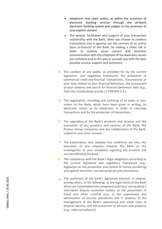- telephone chat (web audio), at within the provision of electronic banking services through the winbank electronic banking system and subject to the provision of your explicit consent
- The service, facilitation and support of your transaction relationship with the Bank, when you choose to conduct transactions and in general use the services of an online store (e -branch) of the Bank, by making a video call in order to achieve visual contact and Seamless communication with the employee of the Bank who serves you remotely and in this way to provide you with the best possible service, support and assistance .
- $\blacksquare$  The conduct of any audits, as provided for by the current legislative and regulatory framework, the protection of commercial credit and financial transactions, transmission of your data related to your financial behaviour, the assessment of your solvency and search for financial behaviour data (e.g., from the interbanking records of TIRESIAS S.A.).
- $\blacksquare$  The registration, recording and archiving of all types of your orders to the Bank, which have been given in writing, by electronic means or by telephone, in order to conclude transactions and for the protection of transactions.
- $\blacksquare$  The upgrading of the Bank's products and services and the promotion of any products and services of the Bank, the Piraeus Group companies and any collaborators of the Bank, subject to your prior consent.
- $\blacksquare$  The examination and, weather the conditions are met, the execution of any requests towards the Bank or the investigation of your complaints regarding any products and services offered by the Bank.
- The compliance with the Bank's legal obligations according to  $\mathcal{L}_{\text{max}}$ the current legislative and regulatory framework (e.g., legislation on the prevention and control of money laundering and against terrorism, tax and social security provisions).
- $\blacksquare$  The protection of the Bank's legitimate interests in relation, among others, to the following: a) any legal claims of the Bank which are raised before the competent judicial or extrajudicial / alternative dispute resolution bodies; b) the prevention of fraud and other criminal acts; c) the assessment and optimization of security procedures and IT systems; d) the management of the Bank's operational and credit risks; e) physical security and the protection of persons and property (e.g., video surveillance).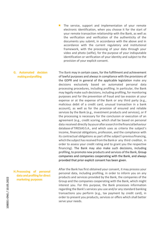- $\blacksquare$  The service, support and implementation of your remote electronic identification, when you choose it for the start of your remote transaction relationship with the Bank, as well as the verification and verification of the authenticity of the documents you submit, in accordance with the above and in accordance with the current regulatory and institutional framework, with the processing of your data through your video and photo (selfie), for the purpose of your indisputable identification or verification of your identity and subject to the provision of your explicit consent.
- **G. Automated decision makingandprofiling** The Bank may in certain cases, for the fulfillment and achievement of lawful purposes and always in compliance with the provisions of the GDPR and in general of the applicable legislation make any decisions exclusively based on automated personal data processing procedures, including profiling. In particular, the Bank may legally make such decisions, including profiling, for monitoring purposes and for the prevention of fraud and tax evasion at your expense or at the expense of the Bank or any third party (e.g., malicious debit of a credit card, unusual transaction in a bank account), as well as for the provision of ensured and reliable services by the Bank (e.g., investment products and services), or if the processing is necessary for the conclusion or execution of an agreement (e.g., credit scoring, which shall be based on personal data received directly byyouorafterasearchinthefinancialbehaviour database of TIRESIAS S.A., and which uses as criteria the subject's income, financial obligations, profession, and the compliance with its contractual obligations as part ofthe subject'spreviousfinancing, which the subject has received from the Bank or any third creditor, in order to assess your credit rating and to grant you the respective financing). The Bank may also make such decisions, including profiling, to promote new products and services of the Bank, Group companies and companies cooperating with the Bank, and always provided that prior explicit consent has been given.

**H.Processing of personal data and profiling for direct marketing purposes**

After the Bank has first obtained your consent, it may process your personal data, including profiling, in order to inform you on any products and services provided by the Bank, the companies of the Group and the companies cooperating with the Bank, which might interest you. For this purpose, the Bank processes information regarding the Bank's services you use and/or any standard banking transactions you perform (e.g., tax payment by credit card), in order to present you products, services or offers which shall better serve your needs.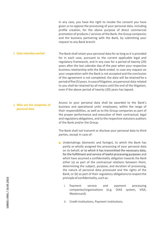In any case, you have the right to revoke the consent you have given us to oppose the processing of your personal data, including profile creation, for the above purpose of direct commercial promotion of products / services of the Bank, the Group companies and the business partnering with the Bank, by submitting your request to any Bank branch

**I. Data retention period** The Bank shall retain your personal data for as long as it is provided for in each case, pursuant to the current applicable legal and regulatory framework, and in any case for a period of twenty (20) years after the last calendar day of the year when your respective business relationship with the Bank ended. In case any request on your cooperation with the Bank is not accepted and the conclusion of the agreement is not completed, the data will be retained for a periodoffive(5)years.Incaseoflitigation,anypersonal data related to you shall be retained by all means until the end of the litigation, even if the above period of twenty (20) years has lapsed.

**J. Who are the recipients of personal data** Access to your personal data shall be awarded to the Bank's business and operational units' employees, within the range of their responsibilities, as well as to the Group companies as part of the proper performance and execution of their contractual, legal and regulatory obligations, and to the respective statutory auditors of the Bank and/or the Group.

> The Bank shall not transmit or disclose your personal data to third parties, except in case of:

- **D** Undertakings (domestic and foreign), to which the Bank has partly or wholly assigned the processing of your personal data on its behalf, or to which it has transmitted the necessary data, for the fulfillment and service of lawful processing purposes and which have assumed a confidentiality obligation towards the Bank either (a) as part of the contractual relations between them, determining the subject, purpose, and duration of processing, the nature of personal data processed and the rights of the Bank; or (b) as part of their regulatory obligations to respect the principle of confidentiality, such as:
	- i. Payment service and payment processing companies/organizations (e.g. DIAS system, VISA, Mastercard).
	- ii. Credit Institutions, Payment Institutions.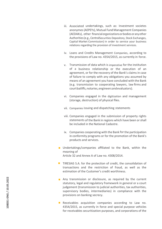- iii. Associated undertakings, such as: Investment societes anonymes(AEPEYs), Mutual Fund Management Companies (AEDAKs), other financialorganizationsorbodiesoranyother Authorities (e.g., CentralSecurities Depository, Stock Exchanges, Capital Market Commission) in order to service your business relations regarding the provision of investment services.
- iv. Loans and Credits Management Companies, according to the provisions of Law no. 4354/2015, as currently in force.
- v. Transmission of data which is imperative for the institution of a business relationship or the execution of an agreement, or for the recovery of the Bank's claims in case of failure to comply with any obligations you assumed by means of an agreement you have concluded with the Bank (e.g. transmission to cooperating lawyers, law firms and courtbailiffs,notaries,engineersandevaluators).
- vi. Companies engaged in the digitization and management (storage, destruction) of physical files.
- vii. Companies issuing and dispatching statements
- viii. Companies engaged in the submission of property rights statements of the Bank in regions which have been or shall be included in the National Cadastre.
- ix. Companies cooperating with the Bank for the participation in conformity programs or for the promotion of the Bank's products and services.
- **Undertakings/companies affiliated to the Bank, within the** meaning of Article 32 and Annex A of Law no. 4308/2014.
- $\blacksquare$  TIRESIAS S.A. for the protection of credit, the consolidation of transactions and the restriction of fraud, as well as the estimation of the Customer's credit worthiness.
- **n** Any transmission or disclosure, as required by the current statutory, legal and regulatory framework in general or a court judgement (transmission to judicial authorities, tax authorities, supervisory bodies, intermediaries) in compliance with the provisions on banking secrecy.
- Receivables acquisition companies according to Law no. 4354/2015, as currently in force and special purpose vehicles for receivables securitization purposes, and corporations of the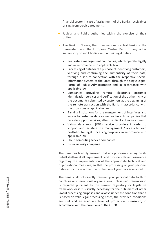financial sector in case of assignment of the Bank's receivables arising from credit agreements.

- **Judicial and Public authorities within the exercise of their** duties.
- $\blacksquare$  The Bank of Greece, the other national central Banks of the Eurosystem and the European Central Bank or any other supervisory or audit bodies within their legal duties.
	- Real estate management companies, which operate legally and in accordance with applicable law
	- Processing of data for the purpose of identifying customers, verifying and confirming the authenticity of their data, through a secure connection with the respective special information system of the State, through the Single Digital Portal of Public Administration and in accordance with applicable law.
	- Companies providing remote electronic customer identification services and verification of the authenticity of the documents submitted by customers at the beginning of the remote transaction with the Bank, in accordance with the provisions of applicable law.
	- Banking institutions for the management of interfaces and access to customer data as well as Fintech companies that provide support services, after the client authorizes them.
	- Virtual data room (VDR) service providers in order to support and facilitate the management / access to loan portfolios for legal processing purposes, in accordance with applicable law
	- Cloud computing service companies.
	- Cyber security companies

The Bank has lawfully ensured that any processors acting on its behalf shall meet all requirements and provide sufficient assurance regarding the implementation of the appropriate technical and organizational measures, so that the processing of your personal data occurs in a way that the protection of your data is ensured.

The Bank shall not directly transmit your personal data to third countries or international organizations, unless said transmission is required pursuant to the current regulatory or legislative framework or if it is strictly necessary for the fulfillment of other lawful processing purposes and always under the condition that it is based on valid legal processing bases, the provided conditions are met and an adequate level of protection is ensured, in accordance with the provisions of the G DPR.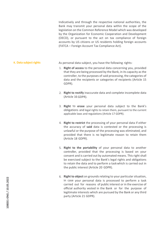Indicatively and through the respective national authorities, the Bank may transmit your personal data within the scope of the legislation on the Common Reference Model which was developed by the Organization for Economic Cooperation and Development (OECD), or pursuant to the act on tax compliance of foreign accounts by US citizens or US residents holding foreign accounts (FATCA – Foreign Account Tax Compliance Act).

## K. Data subject rights **As personal data subject, you have the following rights:**

- 1. **Right of access** to the personal data concerning you, provided that they are being processed by the Bank, in its capacity as the controller, to the purposes of said processing, the categories of data and the recipients or categories of recipients (Article 15 GDPR).
- 2. **Right to rectify** inaccurate data and complete incomplete data (Article 16 GDPR).
- 3. **Right** to **erase** your personal data subject to the Bank's obligations and legal rights to retain them, pursuant to the current applicable laws and regulations (Article 17 GDPR).
- 4. **Right to restrict** the processing of your personal data if either the accuracy of **said** data is contested or the processing is unlawful or the purpose of the processing was eliminated, and provided that there is no legitimate reason to retain them (Article 18 GDPR).
- 5. **Right to the portability** of your personal data to another controller, provided that the processing is based on your consent and is carried out by automated means. This right shall be exercised subject to the Bank's legal rights and obligations to retain the data and to perform a taskwhich is carried out in the public interest (Article 20 GDPR).
- 6. **Right to object** on grounds relating to your particular situation, in case your personal data is processed to perform a task carried out for reasons of public interest or in the exercise of official authority vested in the Bank or for the purpose of legitimate interests which are pursued by the Bank or any third party (Article 21 GDPR).